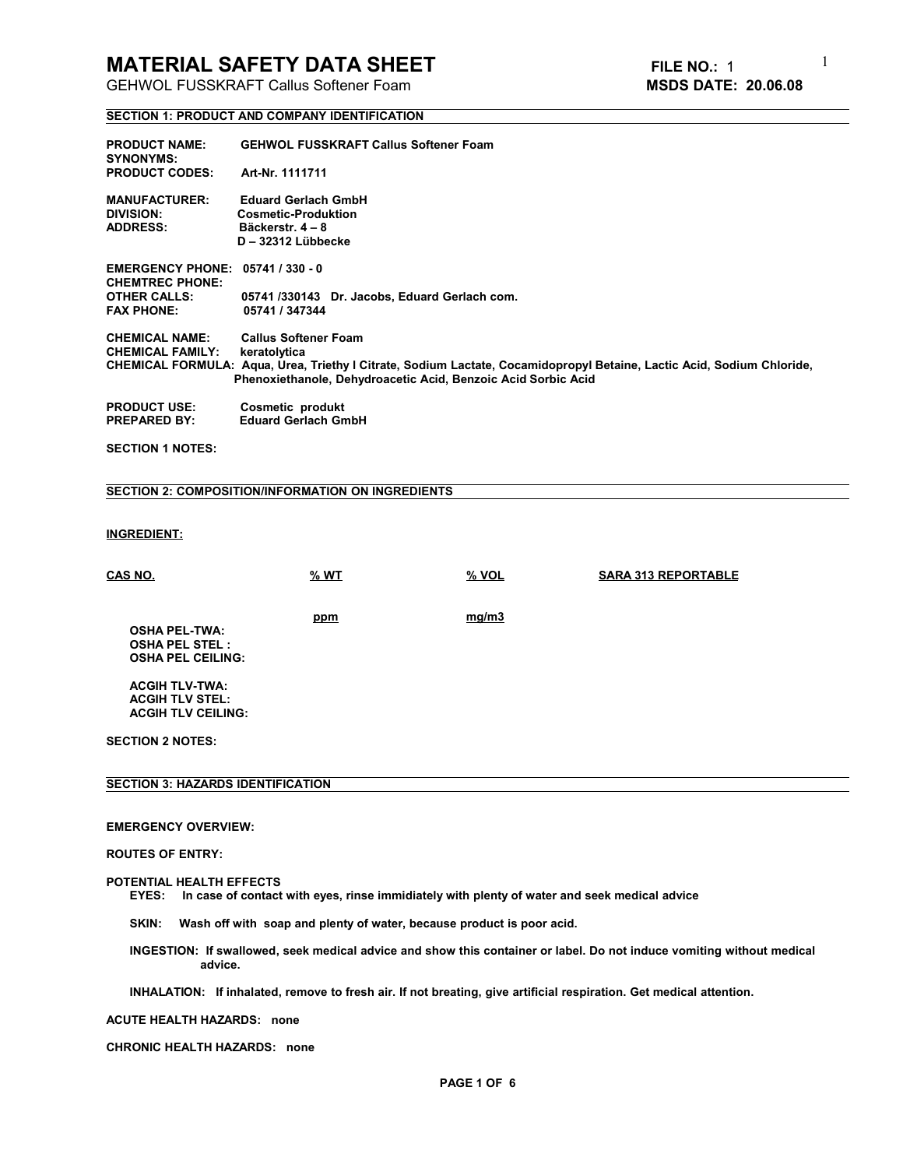GEHWOL FUSSKRAFT Callus Softener Foam **MSDS DATE: 20.06.08**

1

#### **SECTION 1: PRODUCT AND COMPANY IDENTIFICATION**

| <b>PRODUCT NAME:</b><br><b>SYNONYMS:</b>                          | <b>GEHWOL FUSSKRAFT Callus Softener Foam</b>                                                                           |
|-------------------------------------------------------------------|------------------------------------------------------------------------------------------------------------------------|
| <b>PRODUCT CODES:</b>                                             | Art-Nr. 1111711                                                                                                        |
| <b>MANUFACTURER:</b>                                              | <b>Eduard Gerlach GmbH</b>                                                                                             |
| <b>DIVISION:</b>                                                  | <b>Cosmetic-Produktion</b>                                                                                             |
| <b>ADDRESS:</b>                                                   | Bäckerstr. 4 – 8                                                                                                       |
|                                                                   | D - 32312 Lübbecke                                                                                                     |
| <b>EMERGENCY PHONE: 05741 / 330 - 0</b><br><b>CHEMTREC PHONE:</b> |                                                                                                                        |
| <b>OTHER CALLS:</b>                                               | 05741/330143 Dr. Jacobs, Eduard Gerlach com.                                                                           |
| <b>FAX PHONE:</b>                                                 | 05741 / 347344                                                                                                         |
| <b>CHEMICAL NAME:</b>                                             | <b>Callus Softener Foam</b>                                                                                            |
| <b>CHEMICAL FAMILY:</b>                                           | keratolytica                                                                                                           |
|                                                                   | CHEMICAL FORMULA: Aqua, Urea, Triethy I Citrate, Sodium Lactate, Cocamidopropyl Betaine, Lactic Acid, Sodium Chloride, |
|                                                                   | Phenoxiethanole, Dehydroacetic Acid, Benzoic Acid Sorbic Acid                                                          |
| <b>PRODUCT USE:</b>                                               | Cosmetic produkt                                                                                                       |
| <b>PREPARED BY:</b>                                               | <b>Eduard Gerlach GmbH</b>                                                                                             |
|                                                                   |                                                                                                                        |

**SECTION 1 NOTES:** 

### **SECTION 2: COMPOSITION/INFORMATION ON INGREDIENTS**

## **INGREDIENT:**

| <b>CAS NO.</b>                                                            | $%$ WT | $%$ VOL | <b>SARA 313 REPORTABLE</b> |
|---------------------------------------------------------------------------|--------|---------|----------------------------|
| <b>OSHA PEL-TWA:</b><br><b>OSHA PEL STEL:</b><br><b>OSHA PEL CEILING:</b> | ppm    | mg/m3   |                            |
| <b>ACGIH TLV-TWA:</b><br><b>ACGIH TLV STEL:</b>                           |        |         |                            |
| <b>ACGIH TLV CEILING:</b>                                                 |        |         |                            |
| <b>SECTION 2 NOTES:</b>                                                   |        |         |                            |

### **SECTION 3: HAZARDS IDENTIFICATION**

#### **EMERGENCY OVERVIEW:**

#### **ROUTES OF ENTRY:**

#### **POTENTIAL HEALTH EFFECTS**

 **EYES: In case of contact with eyes, rinse immidiately with plenty of water and seek medical advice**

 **SKIN: Wash off with soap and plenty of water, because product is poor acid.**

INGESTION: If swallowed, seek medical advice and show this container or label. Do not induce vomiting without medical  **advice.** 

 **INHALATION: If inhalated, remove to fresh air. If not breating, give artificial respiration. Get medical attention.**

#### **ACUTE HEALTH HAZARDS: none**

**CHRONIC HEALTH HAZARDS: none**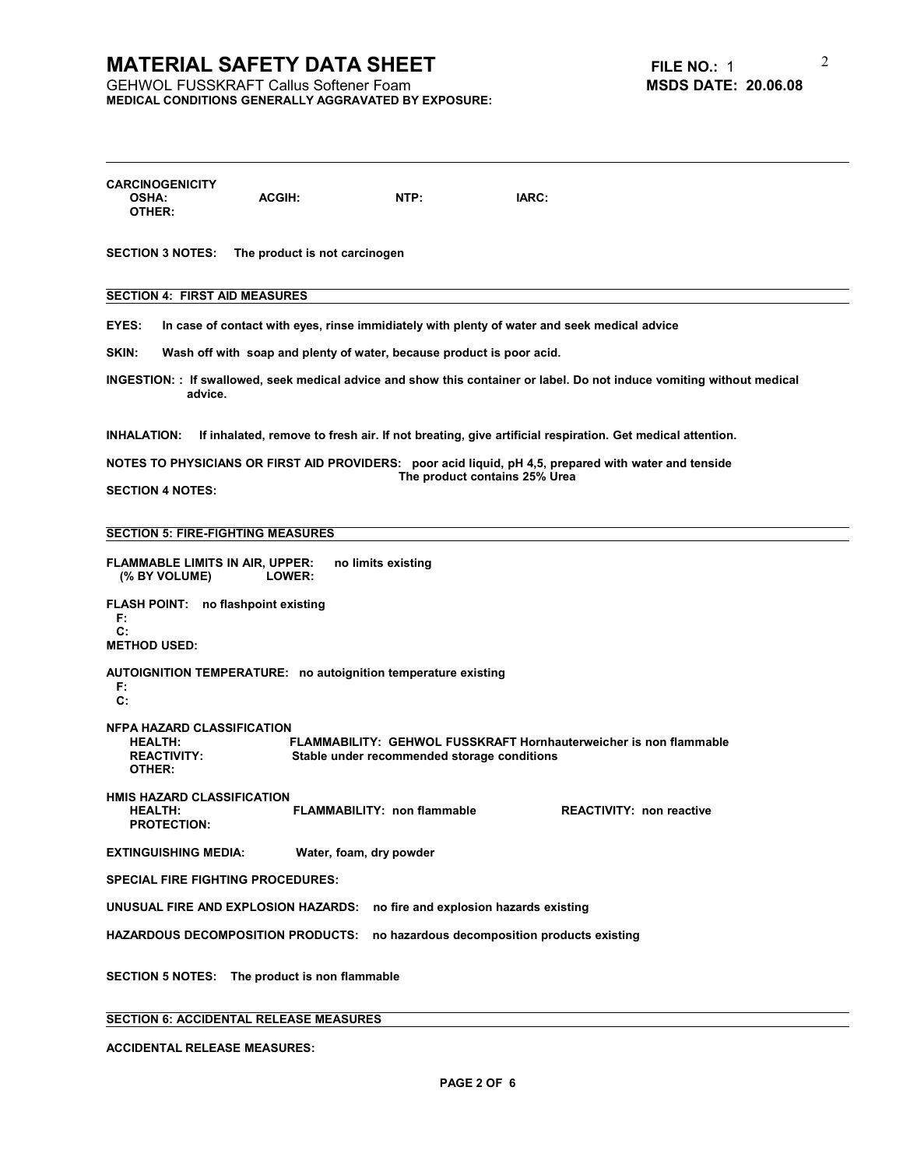# **MATERIAL SAFETY DATA SHEET**<br>
GEHWOL FUSSKRAFT Callus Softener Foam<br> **MSDS DATE:** 20.06.08

**GEHWOL FUSSKRAFT Callus Softener Foam MEDICAL CONDITIONS GENERALLY AGGRAVATED BY EXPOSURE:** 2

| <b>CARCINOGENICITY</b><br><b>OSHA:</b><br>OTHER:                                    | <b>ACGIH:</b>                                                         | NTP:                               | IARC:                                                                                                                                  |  |
|-------------------------------------------------------------------------------------|-----------------------------------------------------------------------|------------------------------------|----------------------------------------------------------------------------------------------------------------------------------------|--|
| <b>SECTION 3 NOTES:</b>                                                             | The product is not carcinogen                                         |                                    |                                                                                                                                        |  |
| <b>SECTION 4: FIRST AID MEASURES</b>                                                |                                                                       |                                    |                                                                                                                                        |  |
| EYES:                                                                               |                                                                       |                                    | In case of contact with eyes, rinse immidiately with plenty of water and seek medical advice                                           |  |
| SKIN:                                                                               | Wash off with soap and plenty of water, because product is poor acid. |                                    |                                                                                                                                        |  |
| advice.                                                                             |                                                                       |                                    | INGESTION: : If swallowed, seek medical advice and show this container or label. Do not induce vomiting without medical                |  |
| <b>INHALATION:</b>                                                                  |                                                                       |                                    | If inhalated, remove to fresh air. If not breating, give artificial respiration. Get medical attention.                                |  |
|                                                                                     |                                                                       |                                    | NOTES TO PHYSICIANS OR FIRST AID PROVIDERS: poor acid liquid, pH 4,5, prepared with water and tenside<br>The product contains 25% Urea |  |
| <b>SECTION 4 NOTES:</b>                                                             |                                                                       |                                    |                                                                                                                                        |  |
| <b>SECTION 5: FIRE-FIGHTING MEASURES</b>                                            |                                                                       |                                    |                                                                                                                                        |  |
| <b>FLAMMABLE LIMITS IN AIR, UPPER:</b><br>(% BY VOLUME)                             | LOWER:                                                                | no limits existing                 |                                                                                                                                        |  |
| FLASH POINT: no flashpoint existing<br>F.                                           |                                                                       |                                    |                                                                                                                                        |  |
| $\mathbf{C}$ :<br><b>METHOD USED:</b>                                               |                                                                       |                                    |                                                                                                                                        |  |
| F.<br>$c$ :                                                                         | AUTOIGNITION TEMPERATURE: no autoignition temperature existing        |                                    |                                                                                                                                        |  |
| <b>NFPA HAZARD CLASSIFICATION</b><br><b>HEALTH:</b><br><b>REACTIVITY:</b><br>OTHER: |                                                                       |                                    | FLAMMABILITY: GEHWOL FUSSKRAFT Hornhauterweicher is non flammable<br>Stable under recommended storage conditions                       |  |
| <b>HMIS HAZARD CLASSIFICATION</b><br><b>HEALTH:</b><br><b>PROTECTION:</b>           |                                                                       | <b>FLAMMABILITY: non flammable</b> | <b>REACTIVITY: non reactive</b>                                                                                                        |  |
| <b>EXTINGUISHING MEDIA:</b>                                                         |                                                                       | Water, foam, dry powder            |                                                                                                                                        |  |
| <b>SPECIAL FIRE FIGHTING PROCEDURES:</b>                                            |                                                                       |                                    |                                                                                                                                        |  |
|                                                                                     | UNUSUAL FIRE AND EXPLOSION HAZARDS:                                   |                                    | no fire and explosion hazards existing                                                                                                 |  |
|                                                                                     | <b>HAZARDOUS DECOMPOSITION PRODUCTS:</b>                              |                                    | no hazardous decomposition products existing                                                                                           |  |
|                                                                                     | SECTION 5 NOTES: The product is non flammable                         |                                    |                                                                                                                                        |  |
|                                                                                     | <b>SECTION 6: ACCIDENTAL RELEASE MEASURES</b>                         |                                    |                                                                                                                                        |  |

**ACCIDENTAL RELEASE MEASURES:**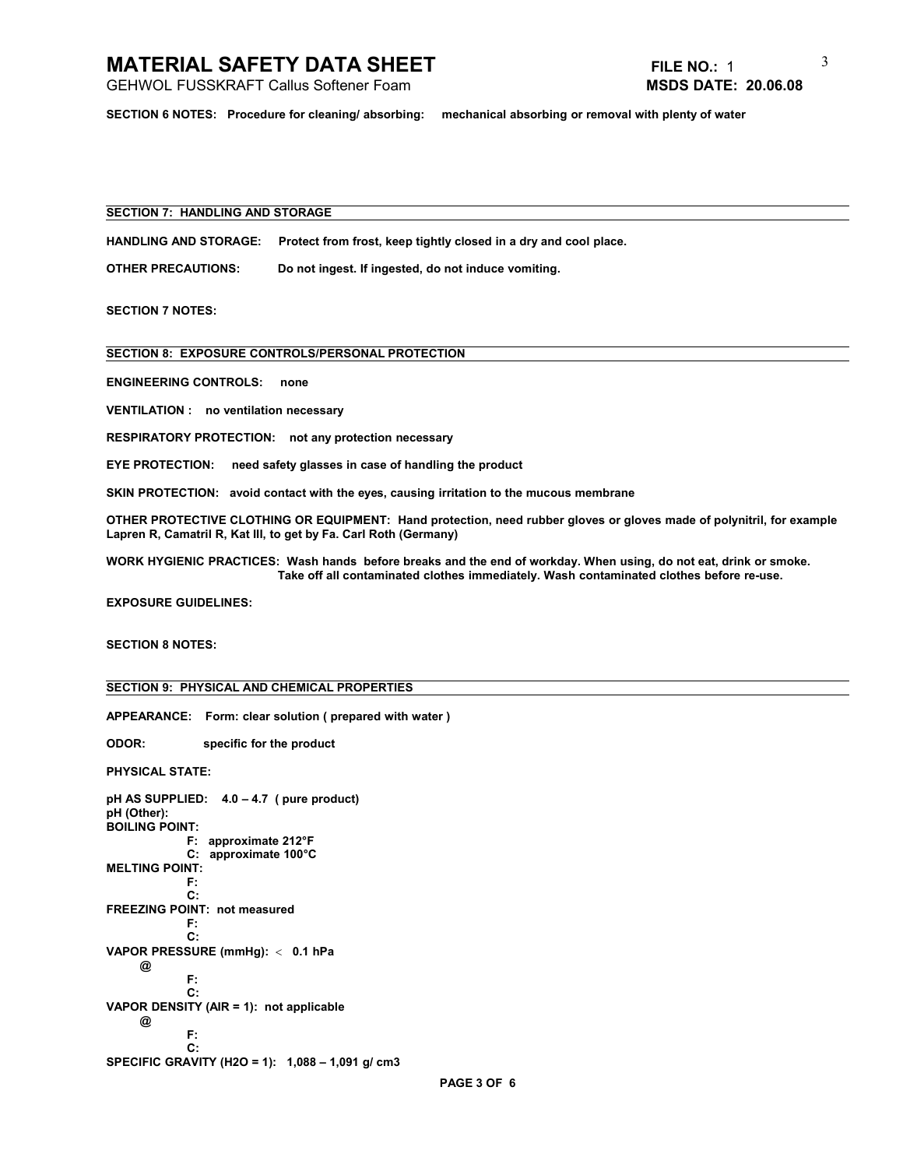GEHWOL FUSSKRAFT Callus Softener Foam **MSDS DATE: 20.06.08**

3

**SECTION 6 NOTES: Procedure for cleaning/ absorbing: mechanical absorbing or removal with plenty of water**

# **SECTION 7: HANDLING AND STORAGE**

**HANDLING AND STORAGE: Protect from frost, keep tightly closed in a dry and cool place.**

**OTHER PRECAUTIONS: Do not ingest. If ingested, do not induce vomiting.**

**SECTION 7 NOTES:**

**SECTION 8: EXPOSURE CONTROLS/PERSONAL PROTECTION**

**ENGINEERING CONTROLS: none**

**VENTILATION : no ventilation necessary**

**RESPIRATORY PROTECTION: not any protection necessary**

**EYE PROTECTION: need safety glasses in case of handling the product**

**SKIN PROTECTION: avoid contact with the eyes, causing irritation to the mucous membrane**

**OTHER PROTECTIVE CLOTHING OR EQUIPMENT: Hand protection, need rubber gloves or gloves made of polynitril, for example Lapren R, Camatril R, Kat III, to get by Fa. Carl Roth (Germany)**

**WORK HYGIENIC PRACTICES: Wash hands before breaks and the end of workday. When using, do not eat, drink or smoke. Take off all contaminated clothes immediately. Wash contaminated clothes before re-use.**

**EXPOSURE GUIDELINES:**

**SECTION 8 NOTES:**

## **SECTION 9: PHYSICAL AND CHEMICAL PROPERTIES**

**APPEARANCE: Form: clear solution ( prepared with water )**

**ODOR: specific for the product**

**PHYSICAL STATE:**

```
pH AS SUPPLIED: 4.0 – 4.7 ( pure product)
pH (Other): 
BOILING POINT:
             F: approximate 212°F
             C: approximate 100°C
MELTING POINT:
 F:
 C:
FREEZING POINT: not measured
             F:
             C:
VAPOR PRESSURE (mmHg):  0.1 hPa
     @
             F:
 C:
VAPOR DENSITY (AIR = 1): not applicable
     @ 
             F:
             C:
SPECIFIC GRAVITY (H2O = 1): 1,088 – 1,091 g/ cm3
```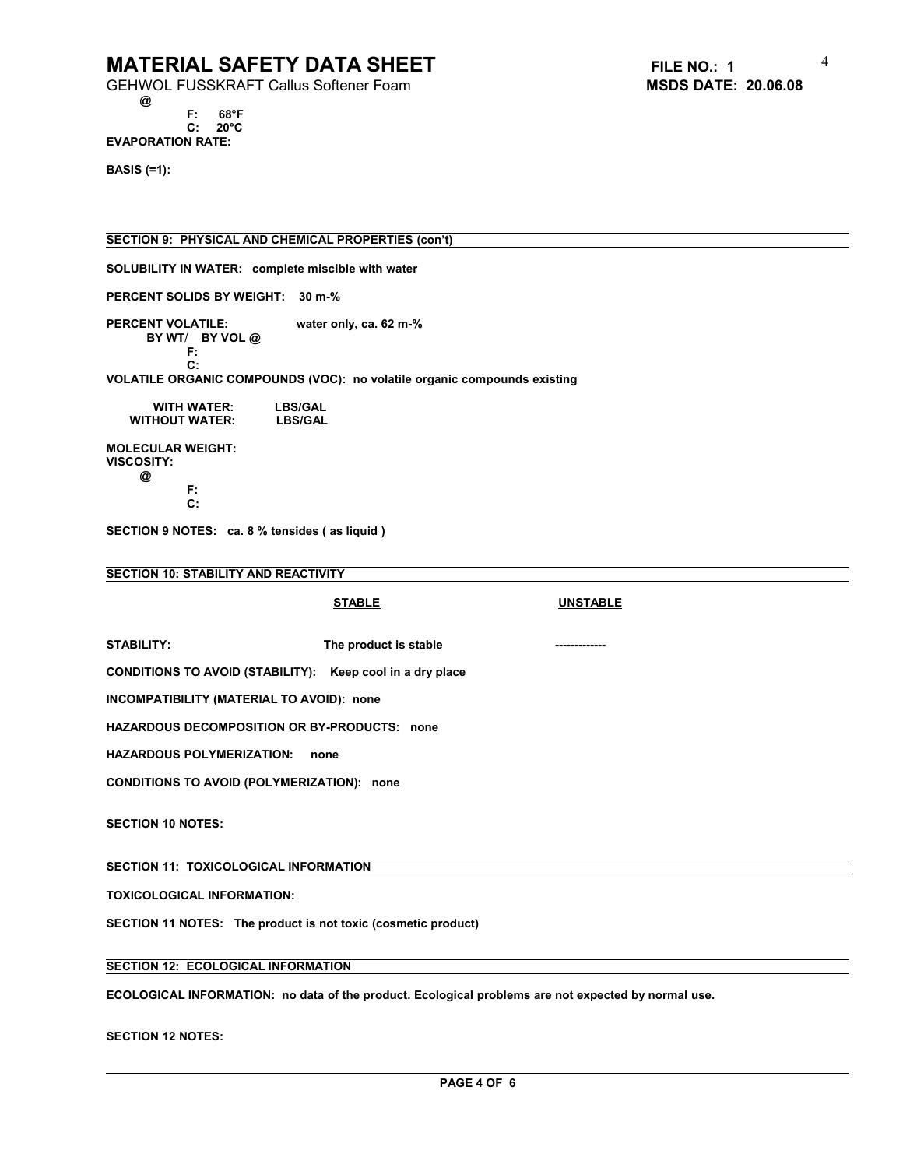GEHWOL FUSSKRAFT Callus Softener Foam **MSDS DATE: 20.06.08**

 **@ F: 68°F C: 20°C EVAPORATION RATE:**

4

**BASIS (=1):** 

**SECTION 9: PHYSICAL AND CHEMICAL PROPERTIES (con't)**

**SOLUBILITY IN WATER: complete miscible with water**

**PERCENT SOLIDS BY WEIGHT: 30 m-%**

**PERCENT VOLATILE: PERCENT VOLATILE: water only, ca. 62 m-% BY WT**/ **BY VOL @ F:**

 **C:**

**VOLATILE ORGANIC COMPOUNDS (VOC): no volatile organic compounds existing**

 **WITH WATER: LBS/GAL WITHOUT WATER:** 

**MOLECULAR WEIGHT: VISCOSITY: @ F:**

 **C:**

**SECTION 9 NOTES: ca. 8 % tensides ( as liquid )** 

# **SECTION 10: STABILITY AND REACTIVITY**

|                                                               | <b>STABLE</b>         | <b>UNSTABLE</b> |  |  |  |  |
|---------------------------------------------------------------|-----------------------|-----------------|--|--|--|--|
| STABILITY:                                                    | The product is stable | ------------    |  |  |  |  |
| CONDITIONS TO AVOID (STABILITY): Keep cool in a dry place     |                       |                 |  |  |  |  |
| INCOMPATIBILITY (MATERIAL TO AVOID): none                     |                       |                 |  |  |  |  |
| <b>HAZARDOUS DECOMPOSITION OR BY-PRODUCTS: none</b>           |                       |                 |  |  |  |  |
| <b>HAZARDOUS POLYMERIZATION:</b><br>none                      |                       |                 |  |  |  |  |
| <b>CONDITIONS TO AVOID (POLYMERIZATION): none</b>             |                       |                 |  |  |  |  |
| <b>SECTION 10 NOTES:</b>                                      |                       |                 |  |  |  |  |
| SECTION 11: TOXICOLOGICAL INFORMATION                         |                       |                 |  |  |  |  |
| <b>TOXICOLOGICAL INFORMATION:</b>                             |                       |                 |  |  |  |  |
| SECTION 11 NOTES: The product is not toxic (cosmetic product) |                       |                 |  |  |  |  |
| <b>SECTION 12: ECOLOGICAL INFORMATION</b>                     |                       |                 |  |  |  |  |

**ECOLOGICAL INFORMATION: no data of the product. Ecological problems are not expected by normal use.**

**SECTION 12 NOTES:**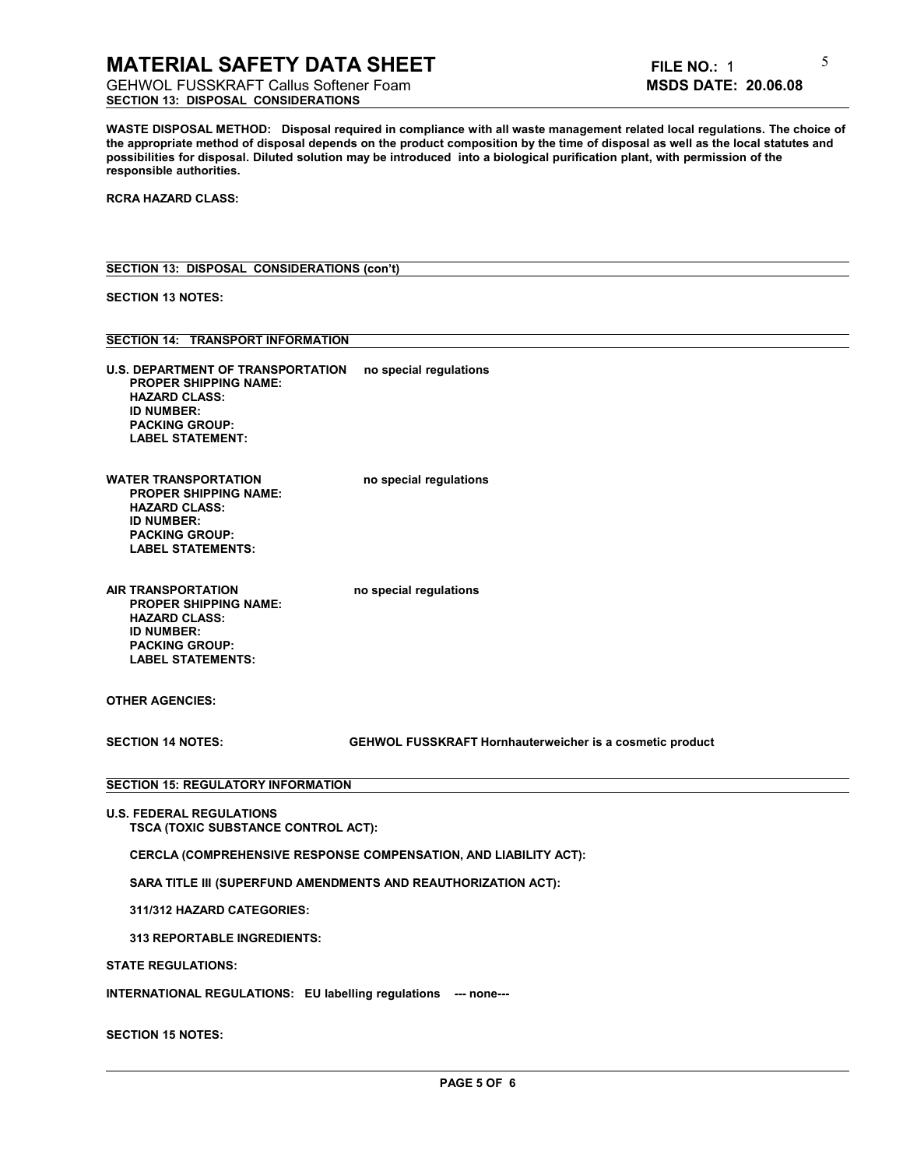GEHWOL FUSSKRAFT Callus Softener Foam **MSDS DATE: 20.06.08 SECTION 13: DISPOSAL CONSIDERATIONS**

**WASTE DISPOSAL METHOD: Disposal required in compliance with all waste management related local regulations. The choice of** the appropriate method of disposal depends on the product composition by the time of disposal as well as the local statutes and **possibilities for disposal. Diluted solution may be introduced into a biological purification plant, with permission of the responsible authorities.**

**RCRA HAZARD CLASS:**

## **SECTION 13: DISPOSAL CONSIDERATIONS (con't)**

**SECTION 13 NOTES:**

# **SECTION 14: TRANSPORT INFORMATION**

| U.S. DEPARTMENT OF TRANSPORTATION | no special regulations |
|-----------------------------------|------------------------|
| <b>PROPER SHIPPING NAME:</b>      |                        |
| <b>HAZARD CLASS:</b>              |                        |
| <b>ID NUMBER:</b>                 |                        |
| <b>PACKING GROUP:</b>             |                        |
| <b>LABEL STATEMENT:</b>           |                        |
|                                   |                        |

**WATER TRANSPORTATION** no special regulations  **PROPER SHIPPING NAME: HAZARD CLASS: ID NUMBER: PACKING GROUP: LABEL STATEMENTS:**

**AIR TRANSPORTATION no special regulations PROPER SHIPPING NAME: HAZARD CLASS: ID NUMBER: PACKING GROUP:**

**OTHER AGENCIES:**

 **LABEL STATEMENTS:**

**SECTION 14 NOTES: GEHWOL FUSSKRAFT Hornhauterweicher is a cosmetic product**

### **SECTION 15: REGULATORY INFORMATION**

**U.S. FEDERAL REGULATIONS TSCA (TOXIC SUBSTANCE CONTROL ACT):**

 **CERCLA (COMPREHENSIVE RESPONSE COMPENSATION, AND LIABILITY ACT):**

 **SARA TITLE III (SUPERFUND AMENDMENTS AND REAUTHORIZATION ACT):**

 **311/312 HAZARD CATEGORIES:**

 **313 REPORTABLE INGREDIENTS:**

**STATE REGULATIONS:**

**INTERNATIONAL REGULATIONS: EU labelling regulations --- none---**

**SECTION 15 NOTES:**

5